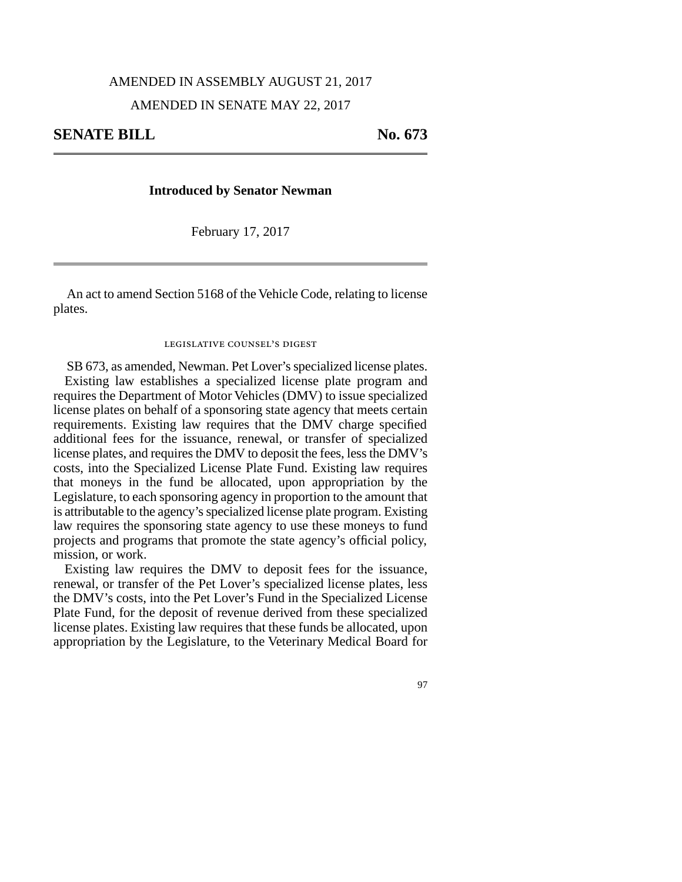### AMENDED IN ASSEMBLY AUGUST 21, 2017

## AMENDED IN SENATE MAY 22, 2017

# **SENATE BILL** No. 673

### **Introduced by Senator Newman**

February 17, 2017

An act to amend Section 5168 of the Vehicle Code, relating to license plates.

### legislative counsel's digest

SB 673, as amended, Newman. Pet Lover's specialized license plates. Existing law establishes a specialized license plate program and requires the Department of Motor Vehicles (DMV) to issue specialized license plates on behalf of a sponsoring state agency that meets certain requirements. Existing law requires that the DMV charge specified additional fees for the issuance, renewal, or transfer of specialized license plates, and requires the DMV to deposit the fees, less the DMV's costs, into the Specialized License Plate Fund. Existing law requires that moneys in the fund be allocated, upon appropriation by the Legislature, to each sponsoring agency in proportion to the amount that is attributable to the agency's specialized license plate program. Existing law requires the sponsoring state agency to use these moneys to fund projects and programs that promote the state agency's official policy, mission, or work.

Existing law requires the DMV to deposit fees for the issuance, renewal, or transfer of the Pet Lover's specialized license plates, less the DMV's costs, into the Pet Lover's Fund in the Specialized License Plate Fund, for the deposit of revenue derived from these specialized license plates. Existing law requires that these funds be allocated, upon appropriation by the Legislature, to the Veterinary Medical Board for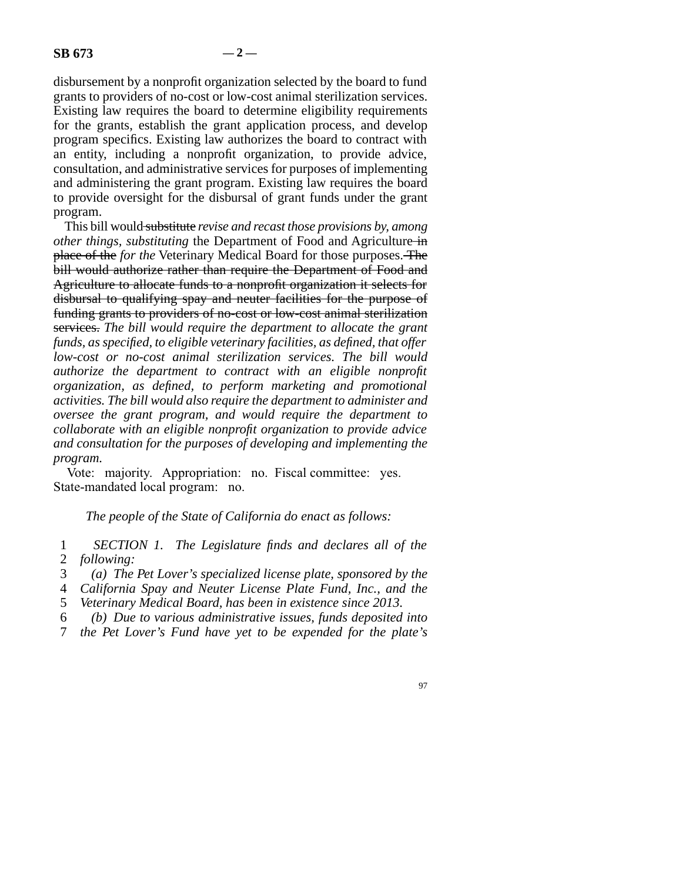disbursement by a nonprofit organization selected by the board to fund grants to providers of no-cost or low-cost animal sterilization services. Existing law requires the board to determine eligibility requirements for the grants, establish the grant application process, and develop program specifics. Existing law authorizes the board to contract with an entity, including a nonprofit organization, to provide advice, consultation, and administrative services for purposes of implementing and administering the grant program. Existing law requires the board to provide oversight for the disbursal of grant funds under the grant program.

This bill would substitute *revise and recast those provisions by, among other things, substituting* the Department of Food and Agriculture in place of the *for the* Veterinary Medical Board for those purposes. The bill would authorize rather than require the Department of Food and Agriculture to allocate funds to a nonprofit organization it selects for disbursal to qualifying spay and neuter facilities for the purpose of funding grants to providers of no-cost or low-cost animal sterilization services. *The bill would require the department to allocate the grant funds, as specified, to eligible veterinary facilities, as defined, that offer low-cost or no-cost animal sterilization services. The bill would authorize the department to contract with an eligible nonprofit organization, as defined, to perform marketing and promotional activities. The bill would also require the department to administer and oversee the grant program, and would require the department to collaborate with an eligible nonprofit organization to provide advice and consultation for the purposes of developing and implementing the program.*

Vote: majority. Appropriation: no. Fiscal committee: yes. State-mandated local program: no.

*The people of the State of California do enact as follows:*

 line 1 *SECTION 1. The Legislature finds and declares all of the* 2 *following:* 

- line 3 *(a) The Pet Lover's specialized license plate, sponsored by the*
- 4 *California Spay and Neuter License Plate Fund, Inc., and the*
- 5 *Veterinary Medical Board, has been in existence since 2013.*
- line 6 *(b) Due to various administrative issues, funds deposited into*
- line 7 *the Pet Lover's Fund have yet to be expended for the plate's*
	- 97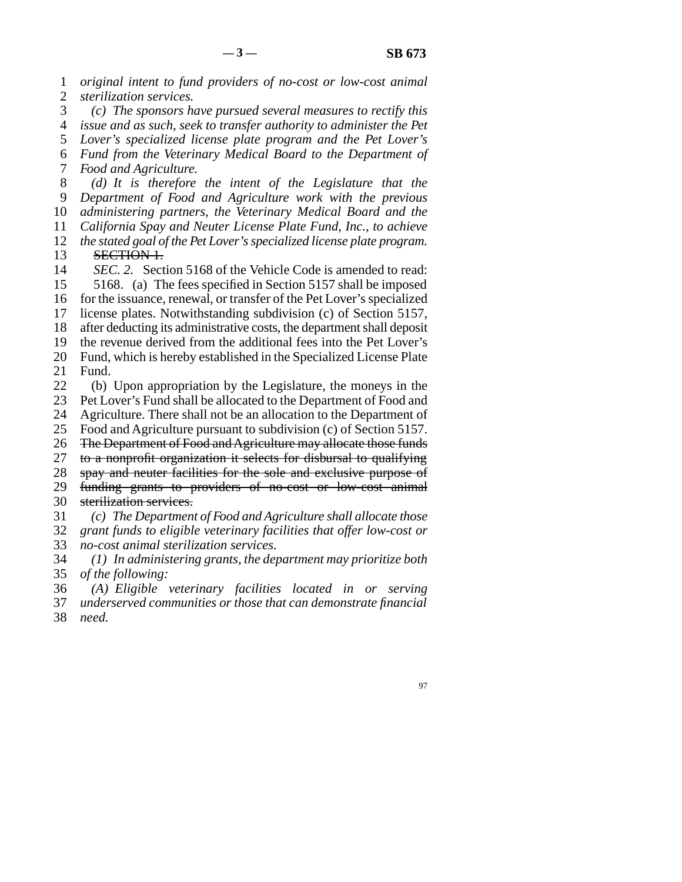line 1 *original intent to fund providers of no-cost or low-cost animal* 2 *sterilization services.*  line 3 *(c) The sponsors have pursued several measures to rectify this* line 4 *issue and as such, seek to transfer authority to administer the Pet* 5 *Lover's specialized license plate program and the Pet Lover's*  line 6 *Fund from the Veterinary Medical Board to the Department of* 7 *Food and Agriculture.*  line 8 *(d) It is therefore the intent of the Legislature that the* line 9 *Department of Food and Agriculture work with the previous* 10 *administering partners, the Veterinary Medical Board and the* 11 *California Spay and Neuter License Plate Fund, Inc., to achieve* 12 *the stated goal of the Pet Lover's specialized license plate program.* 13 **SECTION 1.**<br>14 *SEC.* 2. Sect SEC. 2. Section 5168 of the Vehicle Code is amended to read: 15 5168. (a) The fees specified in Section 5157 shall be imposed 16 for the issuance, renewal, or transfer of the Pet Lover's specialized 17 license plates. Notwithstanding subdivision (c) of Section 5157, 18 after deducting its administrative costs, the department shall deposit 19 the revenue derived from the additional fees into the Pet Lover's 20 Fund, which is hereby established in the Specialized License Plate 21 Fund. 22 (b) Upon appropriation by the Legislature, the moneys in the 23 Pet Lover's Fund shall be allocated to the Department of Food and Pet Lover's Fund shall be allocated to the Department of Food and 24 Agriculture. There shall not be an allocation to the Department of 25 Food and Agriculture pursuant to subdivision (c) of Section 5157. Food and Agriculture pursuant to subdivision (c) of Section 5157. 26 The Department of Food and Agriculture may allocate those funds 27 to a nonprofit organization it selects for disbursal to qualifying 28 spay and neuter facilities for the sole and exclusive purpose of 29 funding grants to providers of no-cost or low-cost animal 30 sterilization services. line 31 *(c) The Department of Food and Agriculture shall allocate those* line 32 *grant funds to eligible veterinary facilities that offer low-cost or* 33 *no-cost animal sterilization services.*  line 34 *(1) In administering grants, the department may prioritize both* 35 *of the following:*  line 36 *(A) Eligible veterinary facilities located in or serving* 37 *underserved communities or those that can demonstrate financial* 

line 38 *need.*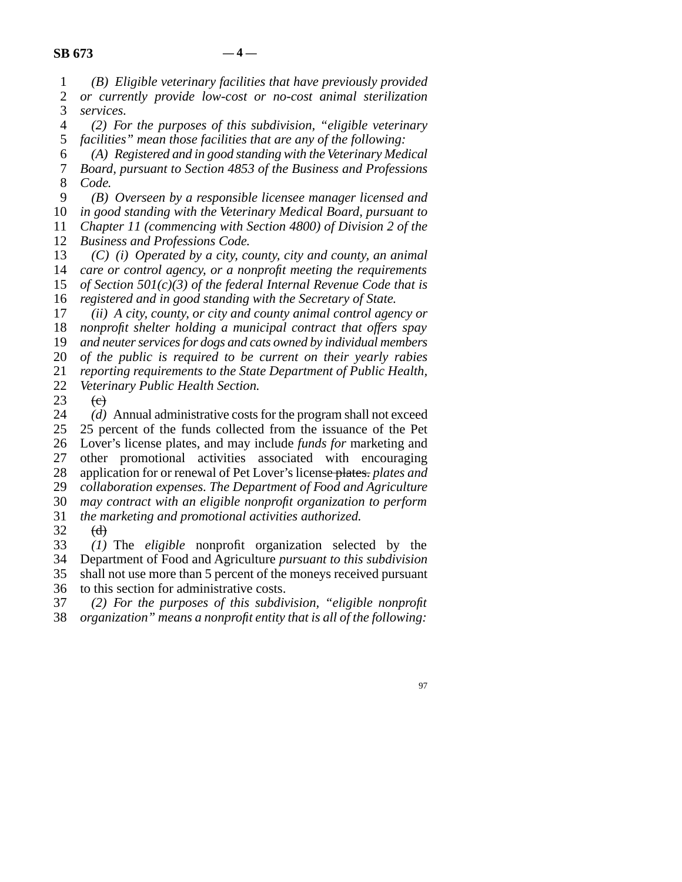line 1 *(B) Eligible veterinary facilities that have previously provided* 2 *or currently provide low-cost or no-cost animal sterilization*<br>3 *services*. services.

 line 4 *(2) For the purposes of this subdivision, "eligible veterinary* 5 *facilities*" mean those facilities that are any of the following:

 line 6 *(A) Registered and in good standing with the Veterinary Medical* 7 *Board, pursuant to Section 4853 of the Business and Professions* line 8 *Code.*

 line 9 *(B) Overseen by a responsible licensee manager licensed and* 10 *in good standing with the Veterinary Medical Board, pursuant to* 11 *Chapter 11 (commencing with Section 4800) of Division 2 of the* 

12 *Business and Professions Code.* 

*(C) (i) Operated by a city, county, city and county, an animal care or control agency, or a nonprofit meeting the requirements of Section 501(c)(3) of the federal Internal Revenue Code that is registered and in good standing with the Secretary of State.* 

17 *(ii)* A city, county, or city and county animal control agency or 18 *nonprofit shelter holding a municipal contract that offers spay* 

19 and neuter services for dogs and cats owned by individual members

20 *of the public is required to be current on their yearly rabies* 

21 *reporting requirements to the State Department of Public Health,* 

22 *Veterinary Public Health Section.* 

23  $\epsilon$ 

24 *(d)* Annual administrative costs for the program shall not exceed 25 25 percent of the funds collected from the issuance of the Pet 25 percent of the funds collected from the issuance of the Pet line 26 Lover's license plates, and may include *funds for* marketing and 27 other promotional activities associated with encouraging 28 application for or renewal of Pet Lover's license-plates. *plates and* 29 *collaboration expenses. The Department of Food and Agriculture*  line 30 *may contract with an eligible nonprofit organization to perform* line 31 *the marketing and promotional activities authorized.*

 $\begin{matrix} 32 & (d) \\ 33 & (1) \end{matrix}$ (1) The *eligible* nonprofit organization selected by the line 34 Department of Food and Agriculture *pursuant to this subdivision* 35 shall not use more than 5 percent of the moneys received pursuant

36 to this section for administrative costs.

line 37 *(2) For the purposes of this subdivision, "eligible nonprofit*

line 38 *organization" means a nonprofit entity that is all of the following:*